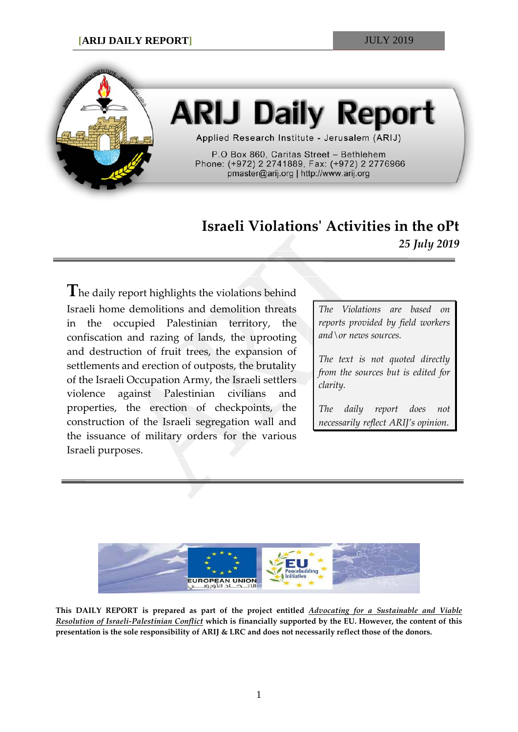

# **ARIJ Daily Report**

Applied Research Institute - Jerusalem (ARIJ)

P.O Box 860, Caritas Street - Bethlehem Phone: (+972) 2 2741889, Fax: (+972) 2 2776966 pmaster@arij.org | http://www.arij.org

# **Israeli Violations' Activities in the oPt** *25 July 2019*

**T**he daily report highlights the violations behind Israeli home demolitions and demolition threats in the occupied Palestinian territory, the confiscation and razing of lands, the uprooting and destruction of fruit trees, the expansion of settlements and erection of outposts, the brutality of the Israeli Occupation Army, the Israeli settlers violence against Palestinian civilians and properties, the erection of checkpoints, the construction of the Israeli segregation wall and the issuance of military orders for the various Israeli purposes.

*The Violations are based on reports provided by field workers and\or news sources.*

*The text is not quoted directly from the sources but is edited for clarity.*

*The daily report does not necessarily reflect ARIJ's opinion.*



**This DAILY REPORT is prepared as part of the project entitled** *Advocating for a Sustainable and Viable Resolution of Israeli-Palestinian Conflict* **which is financially supported by the EU. However, the content of this presentation is the sole responsibility of ARIJ & LRC and does not necessarily reflect those of the donors.**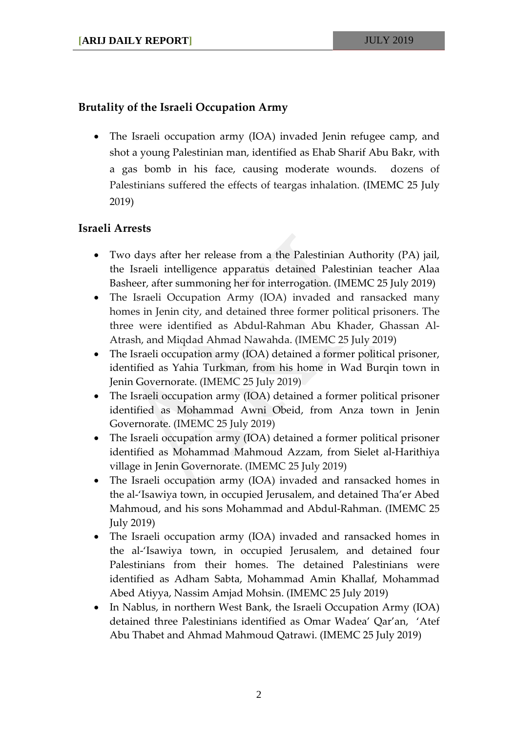## **Brutality of the Israeli Occupation Army**

• The Israeli occupation army (IOA) invaded Jenin refugee camp, and shot a young Palestinian man, identified as Ehab Sharif Abu Bakr, with a gas bomb in his face, causing moderate wounds. dozens of Palestinians suffered the effects of teargas inhalation. (IMEMC 25 July 2019)

## **Israeli Arrests**

- Two days after her release from a the Palestinian Authority (PA) jail, the Israeli intelligence apparatus detained Palestinian teacher Alaa Basheer, after summoning her for interrogation. (IMEMC 25 July 2019)
- The Israeli Occupation Army (IOA) invaded and ransacked many homes in Jenin city, and detained three former political prisoners. The three were identified as Abdul-Rahman Abu Khader, Ghassan Al-Atrash, and Miqdad Ahmad Nawahda. (IMEMC 25 July 2019)
- The Israeli occupation army (IOA) detained a former political prisoner, identified as Yahia Turkman, from his home in Wad Burqin town in Jenin Governorate. (IMEMC 25 July 2019)
- The Israeli occupation army (IOA) detained a former political prisoner identified as Mohammad Awni Obeid, from Anza town in Jenin Governorate. (IMEMC 25 July 2019)
- The Israeli occupation army (IOA) detained a former political prisoner identified as Mohammad Mahmoud Azzam, from Sielet al-Harithiya village in Jenin Governorate. (IMEMC 25 July 2019)
- The Israeli occupation army (IOA) invaded and ransacked homes in the al-'Isawiya town, in occupied Jerusalem, and detained Tha'er Abed Mahmoud, and his sons Mohammad and Abdul-Rahman. (IMEMC 25 July 2019)
- The Israeli occupation army (IOA) invaded and ransacked homes in the al-'Isawiya town, in occupied Jerusalem, and detained four Palestinians from their homes. The detained Palestinians were identified as Adham Sabta, Mohammad Amin Khallaf, Mohammad Abed Atiyya, Nassim Amjad Mohsin. (IMEMC 25 July 2019)
- In Nablus, in northern West Bank, the Israeli Occupation Army (IOA) detained three Palestinians identified as Omar Wadea' Qar'an, 'Atef Abu Thabet and Ahmad Mahmoud Qatrawi. (IMEMC 25 July 2019)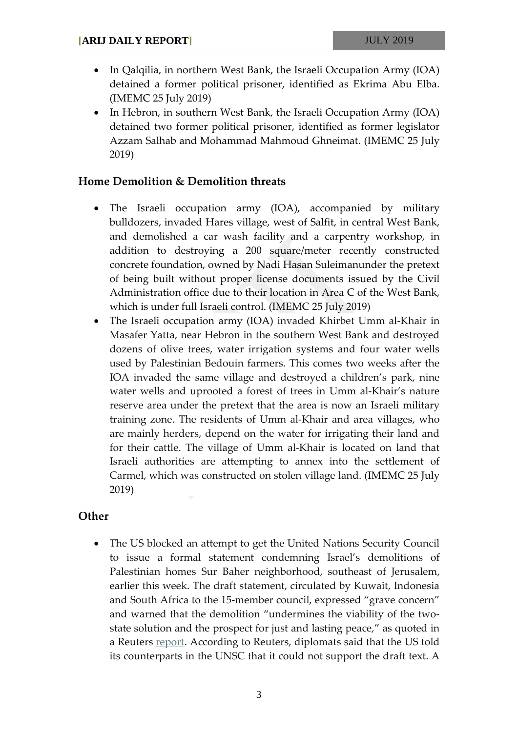- In Qalqilia, in northern West Bank, the Israeli Occupation Army (IOA) detained a former political prisoner, identified as Ekrima Abu Elba. (IMEMC 25 July 2019)
- In Hebron, in southern West Bank, the Israeli Occupation Army (IOA) detained two former political prisoner, identified as former legislator Azzam Salhab and Mohammad Mahmoud Ghneimat. (IMEMC 25 July 2019)

#### **Home Demolition & Demolition threats**

- The Israeli occupation army (IOA), accompanied by military bulldozers, invaded Hares village, west of Salfit, in central West Bank, and demolished a car wash facility and a carpentry workshop, in addition to destroying a 200 square/meter recently constructed concrete foundation, owned by Nadi Hasan Suleimanunder the pretext of being built without proper license documents issued by the Civil Administration office due to their location in Area C of the West Bank, which is under full Israeli control. (IMEMC 25 July 2019)
- The Israeli occupation army (IOA) invaded Khirbet Umm al-Khair in Masafer Yatta, near Hebron in the southern West Bank and destroyed dozens of olive trees, water irrigation systems and four water wells used by Palestinian Bedouin farmers. This comes two weeks after the IOA invaded the same village and destroyed a children's park, nine water wells and uprooted a forest of trees in Umm al-Khair's nature reserve area under the pretext that the area is now an Israeli military training zone. The residents of Umm al-Khair and area villages, who are mainly herders, depend on the water for irrigating their land and for their cattle. The village of Umm al-Khair is located on land that Israeli authorities are attempting to annex into the settlement of Carmel, which was constructed on stolen village land. (IMEMC 25 July 2019)

#### **Other**

• The US blocked an attempt to get the United Nations Security Council to issue a formal statement condemning Israel's demolitions of Palestinian homes Sur Baher neighborhood, southeast of Jerusalem, earlier this week. The draft statement, circulated by Kuwait, Indonesia and South Africa to the 15-member council, expressed "grave concern" and warned that the demolition "undermines the viability of the twostate solution and the prospect for just and lasting peace," as quoted in a Reuters [report.](https://www.reuters.com/article/us-israel-palestinians-un/u-s-blocks-u-n-rebuke-of-israeli-demolition-of-palestinian-homes-diplomats-idUSKCN1UJ2ZW) According to Reuters, diplomats said that the US told its counterparts in the UNSC that it could not support the draft text. A